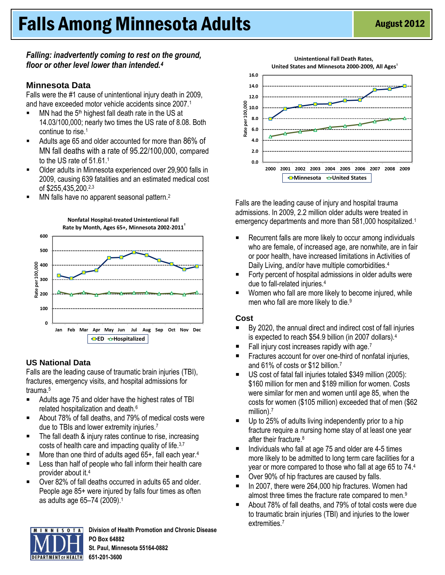# **Falls Among Minnesota Adults** August 2012

#### *Falling: inadvertently coming to rest on the ground, floor or other level lower than intended.<sup>4</sup>*

#### **Minnesota Data**

Falls were the #1 cause of unintentional injury death in 2009, and have exceeded motor vehicle accidents since 2007.<sup>1</sup>

- MN had the  $5<sup>th</sup>$  highest fall death rate in the US at 14.03/100,000; nearly two times the US rate of 8.08. Both continue to rise.<sup>1</sup>
- Adults age 65 and older accounted for more than 86% of MN fall deaths with a rate of 95.22/100,000, compared to the US rate of 51.61.<sup>1</sup>
- Older adults in Minnesota experienced over 29,900 falls in 2009, causing 639 fatalities and an estimated medical cost of \$255,435,200. 2,3
- $\blacksquare$  MN falls have no apparent seasonal pattern.<sup>2</sup>



# **US National Data**

Falls are the leading cause of traumatic brain injuries (TBI), fractures, emergency visits, and hospital admissions for trauma.<sup>5</sup>

- Adults age 75 and older have the highest rates of TBI related hospitalization and death.<sup>6</sup>
- About 78% of fall deaths, and 79% of medical costs were due to TBIs and lower extremity injuries.<sup>7</sup>
- The fall death & injury rates continue to rise, increasing costs of health care and impacting quality of life.3,7
- More than one third of adults aged 65+, fall each year.<sup>4</sup>
- **EXECT** Less than half of people who fall inform their health care provider about it.<sup>4</sup>
- Over 82% of fall deaths occurred in adults 65 and older. People age 85+ were injured by falls four times as often as adults age 65–74 (2009).<sup>1</sup>



**Division of Health Promotion and Chronic Disease PO Box 64882** 



Falls are the leading cause of injury and hospital trauma admissions. In 2009, 2.2 million older adults were treated in emergency departments and more than 581,000 hospitalized.<sup>1</sup>

- Recurrent falls are more likely to occur among individuals who are female, of increased age, are nonwhite, are in fair or poor health, have increased limitations in Activities of Daily Living, and/or have multiple comorbidities.<sup>4</sup>
- Forty percent of hospital admissions in older adults were due to fall-related injuries.<sup>4</sup>
- **Women who fall are more likely to become injured, while** men who fall are more likely to die.<sup>9</sup>

#### **Cost**

- By 2020, the annual direct and indirect cost of fall injuries is expected to reach \$54.9 billion (in 2007 dollars).<sup>4</sup>
- $\blacksquare$  Fall injury cost increases rapidly with age.<sup>7</sup>
- Fractures account for over one-third of nonfatal injuries, and 61% of costs or \$12 billion.<sup>7</sup>
- US cost of fatal fall injuries totaled \$349 million (2005): \$160 million for men and \$189 million for women. Costs were similar for men and women until age 85, when the costs for women (\$105 million) exceeded that of men (\$62 million).<sup>7</sup>
- Up to 25% of adults living independently prior to a hip fracture require a nursing home stay of at least one year after their fracture.<sup>8</sup>
- $\blacksquare$  Individuals who fall at age 75 and older are 4-5 times more likely to be admitted to long term care facilities for a year or more compared to those who fall at age 65 to 74.<sup>4</sup>
- Over 90% of hip fractures are caused by falls.
- In 2007, there were 264,000 hip fractures. Women had almost three times the fracture rate compared to men.<sup>9</sup>
- About 78% of fall deaths, and 79% of total costs were due to traumatic brain injuries (TBI) and injuries to the lower extremities.7

**St. Paul, Minnesota 55164-0882 651-201-3600**